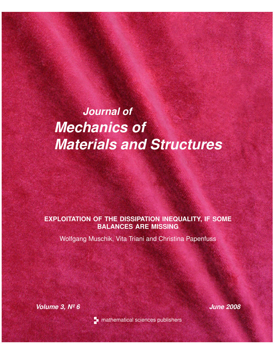# *Journal of Mechanics of Materials and Structures*

## **EXPLOITATION OF THE DISSIPATION INEQUALITY, IF SOME BALANCES ARE MISSING**

Wolfgang Muschik, Vita Triani and Christina Papenfuss

*Volume 3, Nº 6 June 2008*



**T** mathematical sciences publishers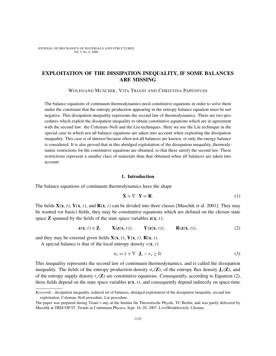### EXPLOITATION OF THE DISSIPATION INEQUALITY, IF SOME BALANCES ARE MISSING

WOLFGANG MUSCHIK, VITA TRIANI AND CHRISTINA PAPENFUSS

The balance equations of continuum thermodynamics need constitutive equations in order to solve them under the constraint that the entropy production appearing in the entropy balance equation must be not negative. This dissipation inequality represents the second law of thermodynamics. There are two procedures which exploit the dissipation inequality to obtain constitutive equations which are in agreement with the second law: the Coleman–Noll and the Liu techniques. Here we use the Liu technique in the special case in which not all balance equations are taken into account when exploiting the dissipation inequality. This case is of interest because often not all balances are known, or only the energy balance is considered. It is also proved that in this abridged exploitation of the dissipation inequality, thermodynamic restrictions for the constitutive equations are obtained, so that these satisfy the second law. These restrictions represent a smaller class of materials than that obtained when all balances are taken into account.

#### 1. Introduction

The balance equations of continuum thermodynamics have the shape

$$
\dot{\mathbf{X}} + \nabla \cdot \mathbf{Y} = \mathbf{R}.\tag{1}
$$

The fields  $X(x, t)$ ,  $Y(x, t)$ , and  $R(x, t)$  can be divided into three classes [Muschik et al. 2001]: They may be wanted (or basic) fields, they may be constitutive equations which are defined on the chosen state space **Z** spanned by the fields of the state space variables  $z(x, t)$ ,

$$
\mathbf{z}(\mathbf{x},t) \in \mathbf{Z}, \qquad \mathbf{X}(\mathbf{z}(\mathbf{x},t)), \qquad \mathbf{Y}(\mathbf{z}(\mathbf{x},t)), \qquad \mathbf{R}(\mathbf{z}(\mathbf{x},t)), \tag{2}
$$

and they may be external given fields  $X(x, t)$ ,  $Y(x, t)$ ,  $R(x, t)$ .

A special balance is that of the local entropy density  $s(\mathbf{x}, t)$ 

$$
\sigma_s = \dot{s} + \nabla \cdot \mathbf{J}_s - r_s \ge 0. \tag{3}
$$

This inequality represents the second law of continuum thermodynamics, and is called the dissipation inequality. The fields of the entropy production density  $\sigma_s(\mathbf{Z})$ , of the entropy flux density  $\mathbf{J}_s(\mathbf{Z})$ , and of the entropy supply density  $r_s(\mathbf{Z})$  are constitutive equations. Consequently, according to Equation (2), these fields depend on the state space variables  $z(x, t)$ , and consequently depend indirectly on space-time.

*Keywords:* dissipation inequality, reduced set of balances, abridged exploitation of the dissipation inequality, second law exploitation, Coleman–Noll procedure, Liu procedure.

The paper was prepared during Triani's stay at the Institut für Theoretische Physik, TU Berlin, and was partly delivered by Muschik at TRECOP'07, Trends in Continuum Physics, Sept. 16–20, 2007, Lviv/Briukhovichi, Ukraina.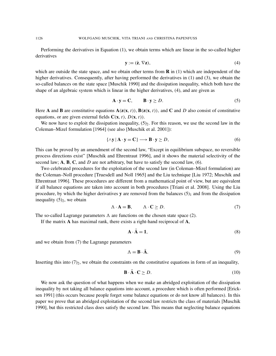Performing the derivatives in Equation (1), we obtain terms which are linear in the so-called higher derivatives

$$
\mathbf{y} := (\dot{\mathbf{z}}, \nabla \mathbf{z}),\tag{4}
$$

which are outside the state space, and we obtain other terms from  $\bf{R}$  in (1) which are independent of the higher derivatives. Consequently, after having performed the derivatives in (1) and (3), we obtain the so-called balances on the state space [Muschik 1990] and the dissipation inequality, which both have the shape of an algebraic system which is linear in the higher derivatives, (4), and are given as

$$
\mathbf{A} \cdot \mathbf{y} = \mathbf{C}, \qquad \mathbf{B} \cdot \mathbf{y} \ge D. \tag{5}
$$

Here A and B are constitutive equations  $A(z(x, t))$ ,  $B(z(x, t))$ , and C and D also consist of constitutive equations, or are given external fields  $C(x, t)$ ,  $D(x, t)$ ).

We now have to exploit the dissipation inequality,  $(5)_2$ . For this reason, we use the second law in the Coleman–Mizel formulation [1964] (see also [Muschik et al. 2001]):

$$
\{\wedge \mathbf{y} \mid \mathbf{A} \cdot \mathbf{y} = \mathbf{C}\} \longrightarrow \mathbf{B} \cdot \mathbf{y} \ge D,\tag{6}
$$

This can be proved by an amendment of the second law, "Except in equilibrium subspace, no reversible process directions exist" [Muschik and Ehrentraut 1996], and it shows the material selectivity of the second law; A, B, C, and *D* are not arbitrary, but have to satisfy the second law, (6).

Two celebrated procedures for the exploitation of the second law (in Coleman–Mizel formulation) are the Coleman–Noll procedure [Truesdell and Noll 1965] and the Liu technique [Liu 1972; Muschik and Ehrentraut 1996]. These procedures are different from a mathematical point of view, but are equivalent if all balance equations are taken into account in both procedures [Triani et al. 2008]. Using the Liu procedure, by which the higher derivatives y are removed from the balances  $(5)_1$  and from the dissipation inequality  $(5)_2$ , we obtain

$$
\Lambda \cdot \mathbf{A} = \mathbf{B}, \qquad \Lambda \cdot \mathbf{C} \ge D. \tag{7}
$$

The so-called Lagrange parameters  $\Lambda$  are functions on the chosen state space (2).

If the matrix A has maximal rank, there exists a right-hand reciprocal of A,

$$
\mathbf{A} \cdot \bar{\mathbf{A}} = \mathbf{1},\tag{8}
$$

and we obtain from (7) the Lagrange parameters

$$
\Lambda = \mathbf{B} \cdot \bar{\mathbf{A}}.\tag{9}
$$

Inserting this into  $(7)_2$ , we obtain the constraints on the constitutive equations in form of an inequality,

$$
\mathbf{B} \cdot \bar{\mathbf{A}} \cdot \mathbf{C} \ge D. \tag{10}
$$

We now ask the question of what happens when we make an abridged exploitation of the dissipation inequality by not taking all balance equations into account, a procedure which is often performed [Ericksen 1991] (this occurs because people forget some balance equations or do not know all balances). In this paper we prove that an abridged exploitation of the second law restricts the class of materials [Muschik 1990], but this restricted class does satisfy the second law. This means that neglecting balance equations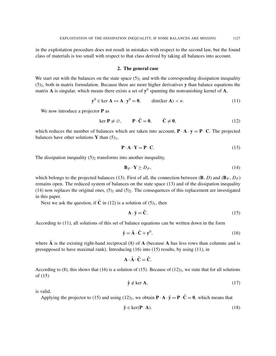in the exploitation procedure does not result in mistakes with respect to the second law, but the found class of materials is too small with respect to that class derived by taking all balances into account.

#### 2. The general case

We start out with the balances on the state space  $(5)<sub>1</sub>$  and with the corresponding dissipation inequality  $(5)$ <sub>2</sub>, both in matrix formulation. Because there are more higher derivatives y than balance equations the matrix A is singular, which means there exists a set of  $y^0$  spanning the nonvanishing kernel of A,

$$
\mathbf{y}^0 \in \ker \mathbf{A} \leftrightarrow \mathbf{A} \cdot \mathbf{y}^0 = \mathbf{0}, \qquad \dim(\ker \mathbf{A}) < n. \tag{11}
$$

We now introduce a projector **P** as

$$
\ker \mathbf{P} \neq \varnothing, \qquad \mathbf{P} \cdot \hat{\mathbf{C}} = \mathbf{0}, \qquad \hat{\mathbf{C}} \neq \mathbf{0}, \tag{12}
$$

which reduces the number of balances which are taken into account,  $\mathbf{P} \cdot \mathbf{A} \cdot \mathbf{y} = \mathbf{P} \cdot \mathbf{C}$ . The projected balances have other solutions Y than  $(5)_1$ ,

$$
\mathbf{P} \cdot \mathbf{A} \cdot \mathbf{Y} = \mathbf{P} \cdot \mathbf{C}.\tag{13}
$$

The dissipation inequality  $(5)_2$  transforms into another inequality,

$$
\mathbf{B}_P \cdot \mathbf{Y} \ge D_P,\tag{14}
$$

which belongs to the projected balances (13). First of all, the connection between  $(\mathbf{B}, D)$  and  $(\mathbf{B}_P, D_P)$ remains open. The reduced system of balances on the state space (13) and of the dissipation inequality (14) now replaces the original ones,  $(5)_1$  and  $(5)_2$ . The consequences of this replacement are investigated in this paper.

Next we ask the question, if  $\hat{C}$  in (12) is a solution of (5)<sub>1</sub>, then

$$
\mathbf{A} \cdot \hat{\mathbf{y}} = \hat{\mathbf{C}}.\tag{15}
$$

According to (11), all solutions of this set of balance equations can be written down in the form

$$
\hat{\mathbf{y}} = \bar{\mathbf{A}} \cdot \hat{\mathbf{C}} + \mathbf{y}^0,\tag{16}
$$

where A is the existing right-hand reciprocal  $(8)$  of A (because A has less rows than columns and is presupposed to have maximal rank). Introducing (16) into (15) results, by using (11), in

$$
\mathbf{A} \cdot \bar{\mathbf{A}} \cdot \hat{\mathbf{C}} = \hat{\mathbf{C}}.
$$

According to (8), this shows that (16) is a solution of (15). Because of (12)<sub>3</sub>, we state that for all solutions of (15)

$$
\hat{\mathbf{y}} \notin \ker \mathbf{A},\tag{17}
$$

is valid.

Applying the projector to (15) and using (12)<sub>2</sub>, we obtain  $\mathbf{P} \cdot \mathbf{A} \cdot \hat{\mathbf{y}} = \mathbf{P} \cdot \hat{\mathbf{C}} = \mathbf{0}$ , which means that

$$
\hat{\mathbf{y}} \in \ker(\mathbf{P} \cdot \mathbf{A}).\tag{18}
$$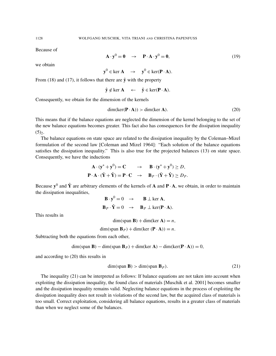Because of

$$
\mathbf{A} \cdot \mathbf{y}^0 = \mathbf{0} \quad \rightarrow \quad \mathbf{P} \cdot \mathbf{A} \cdot \mathbf{y}^0 = \mathbf{0}, \tag{19}
$$

we obtain

 $y^0 \in \text{ker } A \quad \rightarrow \quad y^0 \in \text{ker}(\mathbf{P} \cdot \mathbf{A}).$ 

From (18) and (17), it follows that there are  $\hat{y}$  with the property

$$
\hat{\mathbf{y}} \notin \ker \mathbf{A} \leftarrow \hat{\mathbf{y}} \in \ker(\mathbf{P} \cdot \mathbf{A}).
$$

Consequently, we obtain for the dimension of the kernels

$$
\dim(\ker(\mathbf{P} \cdot \mathbf{A})) > \dim(\ker \mathbf{A}).\tag{20}
$$

This means that if the balance equations are neglected the dimension of the kernel belonging to the set of the new balance equations becomes greater. This fact also has consequences for the dissipation inequality  $(5)_2$ .

The balance equations on state space are related to the dissipation inequality by the Coleman–Mizel formulation of the second law [Coleman and Mizel 1964]: "Each solution of the balance equations satisfies the dissipation inequality." This is also true for the projected balances (13) on state space. Consequently, we have the inductions

$$
\mathbf{A} \cdot (\mathbf{y}^* + \mathbf{y}^0) = \mathbf{C} \rightarrow \mathbf{B} \cdot (\mathbf{y}^* + \mathbf{y}^0) \ge D,
$$
  

$$
\mathbf{P} \cdot \mathbf{A} \cdot (\bar{\mathbf{Y}} + \hat{\mathbf{Y}}) = \mathbf{P} \cdot \mathbf{C} \rightarrow \mathbf{B}_P \cdot (\bar{\mathbf{Y}} + \hat{\mathbf{Y}}) \ge D_P.
$$

Because  $y^0$  and  $\hat{Y}$  are arbitrary elements of the kernels of **A** and **P** · **A**, we obtain, in order to maintain the dissipation inequalities,

$$
\mathbf{B} \cdot \mathbf{y}^0 = 0 \rightarrow \mathbf{B} \perp \ker \mathbf{A},
$$
  

$$
\mathbf{B}_P \cdot \hat{\mathbf{Y}} = 0 \rightarrow \mathbf{B}_P \perp \ker(\mathbf{P} \cdot \mathbf{A}).
$$

This results in

 $dim(span B) + dim(ker A) = n$ ,

 $\dim(\text{span } \mathbf{B}_P) + \dim(\text{ker } (\mathbf{P} \cdot \mathbf{A})) = n.$ 

Subtracting both the equations from each other,

$$
\dim(\text{span }\mathbf{B}) - \dim(\text{span }\mathbf{B}_P) + \dim(\text{ker }\mathbf{A}) - \dim(\text{ker}(\mathbf{P} \cdot \mathbf{A})) = 0,
$$

and according to (20) this results in

$$
\dim(\text{span } \mathbf{B}) > \dim(\text{span } \mathbf{B}_P). \tag{21}
$$

The inequality (21) can be interpreted as follows: If balance equations are not taken into account when exploiting the dissipation inequality, the found class of materials [Muschik et al. 2001] becomes smaller and the dissipation inequality remains valid. Neglecting balance equations in the process of exploiting the dissipation inequality does not result in violations of the second law, but the acquired class of materials is too small. Correct exploitation, considering all balance equations, results in a greater class of materials than when we neglect some of the balances.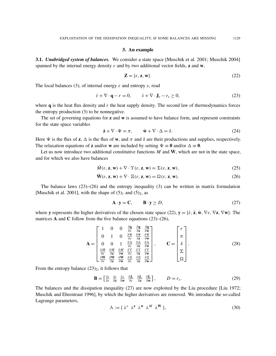#### 3. An example

3.1. *Unabridged system of balances.* We consider a state space [Muschik et al. 2001; Muschik 2004] spanned by the internal energy density  $\varepsilon$  and by two additional vector fields, **z** and **w**,

$$
\mathbf{Z} = \{\varepsilon, \mathbf{z}, \mathbf{w}\}. \tag{22}
$$

The local balances (3), of internal energy  $\varepsilon$  and entropy  $\delta$ , read

$$
\dot{\varepsilon} + \nabla \cdot \mathbf{q} - r = 0, \qquad \dot{s} + \nabla \cdot \mathbf{J}_s - r_s \ge 0,
$$
\n
$$
(23)
$$

where  $q$  is the heat flux density and  $r$  the heat supply density. The second law of thermodynamics forces the entropy production (3) to be nonnegative.

The set of governing equations for  $z$  and  $w$  is assumed to have balance form, and represent constraints for the state space variables

$$
\dot{\mathbf{z}} + \nabla \cdot \Psi = \pi, \qquad \dot{\mathbf{w}} + \nabla \cdot \Delta = \delta. \tag{24}
$$

Here  $\Psi$  is the flux of **z**,  $\Delta$  is the flux of **w**, and  $\pi$  and  $\delta$  are their productions and supplies, respectively. The relaxation equations of **z** and/or **w** are included by setting  $\Psi \equiv 0$  and/or  $\Delta \equiv 0$ .

Let us now introduce two additional constitutive functions  $M$  and  $W$ , which are not in the state space, and for which we also have balances

$$
\dot{M}(\varepsilon, \mathbf{z}, \mathbf{w}) + \nabla \cdot \Upsilon(\varepsilon, \mathbf{z}, \mathbf{w}) = \Sigma(\varepsilon, \mathbf{z}, \mathbf{w}),\tag{25}
$$

$$
\dot{\mathbf{W}}(\varepsilon, \mathbf{z}, \mathbf{w}) + \nabla \cdot \Xi(\varepsilon, \mathbf{z}, \mathbf{w}) = \Omega(\varepsilon, \mathbf{z}, \mathbf{w}).
$$
\n(26)

The balance laws  $(23)$ – $(26)$  and the entropy inequality  $(3)$  can be written in matrix formulation [Muschik et al. 2001], with the shape of  $(5)<sub>1</sub>$  and  $(5)<sub>2</sub>$ , as

$$
\mathbf{A} \cdot \mathbf{y} = \mathbf{C}, \qquad \mathbf{B} \cdot \mathbf{y} \ge D, \tag{27}
$$

where y represents the higher derivatives of the chosen state space (22),  $y = \{\dot{\varepsilon}, \dot{z}, \dot{w}, \nabla \varepsilon, \nabla z, \nabla w\}$ . The matrices **A** and **C** follow from the five balance equations  $(23)$ – $(26)$ ,

$$
\mathbf{A} = \begin{bmatrix} 1 & 0 & 0 & \frac{\partial \mathbf{q}}{\partial \varepsilon} & \frac{\partial \mathbf{q}}{\partial \varepsilon} & \frac{\partial \mathbf{q}}{\partial \mathbf{w}} \\ 0 & 1 & 0 & \frac{\partial \Psi}{\partial \varepsilon} & \frac{\partial \Psi}{\partial \varepsilon} & \frac{\partial \Psi}{\partial \mathbf{w}} \\ 0 & 0 & 1 & \frac{\partial \Delta}{\partial \varepsilon} & \frac{\partial \Delta}{\partial \varepsilon} & \frac{\partial \Delta}{\partial \varepsilon} & \frac{\partial \Delta}{\partial \mathbf{w}} \\ \frac{\partial M}{\partial \varepsilon} & \frac{\partial M}{\partial \varepsilon} & \frac{\partial M}{\partial \mathbf{w}} & \frac{\partial T}{\partial \varepsilon} & \frac{\partial T}{\partial \varepsilon} & \frac{\partial T}{\partial \varepsilon} \\ \frac{\partial W}{\partial \varepsilon} & \frac{\partial W}{\partial \varepsilon} & \frac{\partial W}{\partial \mathbf{w}} & \frac{\partial E}{\partial \varepsilon} & \frac{\partial E}{\partial \varepsilon} & \frac{\partial E}{\partial \mathbf{w}} \end{bmatrix}, \qquad \mathbf{C} = \begin{bmatrix} r \\ \pi \\ \delta \\ \Sigma \\ \Sigma \\ \Omega \end{bmatrix}.
$$
 (28)

From the entropy balance  $(23)_2$ , it follows that

$$
\mathbf{B} = \begin{bmatrix} \frac{\partial s}{\partial \varepsilon} & \frac{\partial s}{\partial \mathbf{z}} & \frac{\partial \mathbf{J}_s}{\partial \mathbf{w}} & \frac{\partial \mathbf{J}_s}{\partial \varepsilon} & \frac{\partial \mathbf{J}_s}{\partial \mathbf{z}} & \frac{\partial \mathbf{J}_s}{\partial \mathbf{w}} \end{bmatrix}, \qquad D = r_s. \tag{29}
$$

The balances and the dissipation inequality (27) are now exploited by the Liu procedure [Liu 1972; Muschik and Ehrentraut 1996], by which the higher derivatives are removed. We introduce the so-called Lagrange parameters,

$$
\Lambda := \{ \lambda^{\varepsilon} \lambda^{\mathbf{z}} \lambda^{\mathbf{w}} \lambda^M \lambda^W \}, \tag{30}
$$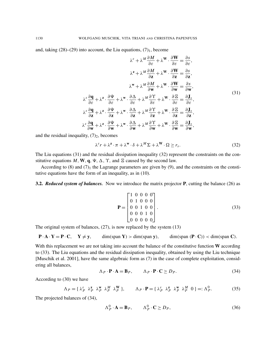and, taking  $(28)$ – $(29)$  into account, the Liu equations,  $(7)_1$ , become

$$
\lambda^{\varepsilon} + \lambda^{M} \frac{\partial M}{\partial \varepsilon} + \lambda^{W} \cdot \frac{\partial W}{\partial \varepsilon} = \frac{\partial s}{\partial \varepsilon},
$$
  

$$
\lambda^{z} + \lambda^{M} \frac{\partial M}{\partial z} + \lambda^{W} \cdot \frac{\partial W}{\partial z} = \frac{\partial s}{\partial z},
$$
  

$$
\lambda^{w} + \lambda^{M} \frac{\partial M}{\partial w} + \lambda^{W} \cdot \frac{\partial W}{\partial w} = \frac{\partial s}{\partial w},
$$
  

$$
\lambda^{\varepsilon} \frac{\partial \mathbf{q}}{\partial \varepsilon} + \lambda^{z} \cdot \frac{\partial \Psi}{\partial \varepsilon} + \lambda^{W} \cdot \frac{\partial \Delta}{\partial \varepsilon} + \lambda^{M} \frac{\partial \Upsilon}{\partial \varepsilon} + \lambda^{W} \cdot \frac{\partial \Xi}{\partial \varepsilon} = \frac{\partial J_{s}}{\partial \varepsilon},
$$
  

$$
\lambda^{\varepsilon} \frac{\partial \mathbf{q}}{\partial z} + \lambda^{z} \cdot \frac{\partial \Psi}{\partial z} + \lambda^{W} \cdot \frac{\partial \Delta}{\partial z} + \lambda^{M} \frac{\partial \Upsilon}{\partial z} + \lambda^{W} \cdot \frac{\partial \Xi}{\partial z} = \frac{\partial J_{s}}{\partial z},
$$
  

$$
\lambda^{\varepsilon} \frac{\partial \mathbf{q}}{\partial w} + \lambda^{z} \cdot \frac{\partial \Psi}{\partial w} + \lambda^{W} \cdot \frac{\partial \Delta}{\partial w} + \lambda^{M} \frac{\partial \Upsilon}{\partial w} + \lambda^{W} \cdot \frac{\partial \Xi}{\partial w} = \frac{\partial J_{s}}{\partial w},
$$
  
(31)

and the residual inequality,  $(7)_2$ , becomes

$$
\lambda^{\varepsilon} r + \lambda^{\mathbf{z}} \cdot \pi + \lambda^{\mathbf{w}} \cdot \delta + \lambda^M \Sigma + \lambda^{\mathbf{W}} \cdot \Omega \ge r_s. \tag{32}
$$

The Liu equations (31) and the residual dissipation inequality (32) represent the constraints on the constitutive equations  $M$ ,  $W$ ,  $q$ ,  $\Psi$ ,  $\Delta$ ,  $\Upsilon$ , and  $\Xi$  caused by the second law.

According to  $(8)$  and  $(7)_1$  the Lagrange parameters are given by  $(9)$ , and the constraints on the constitutive equations have the form of an inequality, as in (10).

3.2. *Reduced system of balances.* Now we introduce the matrix projector P, cutting the balance (26) as

$$
\mathbf{P} = \begin{bmatrix} 1 & 0 & 0 & 0 & 0 \\ 0 & 1 & 0 & 0 & 0 \\ 0 & 0 & 1 & 0 & 0 \\ 0 & 0 & 0 & 1 & 0 \\ 0 & 0 & 0 & 0 & 0 \end{bmatrix} . \tag{33}
$$

The original system of balances, (27), is now replaced by the system (13)

 $P \cdot A \cdot Y = P \cdot C$ ,  $Y \neq y$ , dim(span Y) > dim(span y), dim(span  $(P \cdot C)$ ) < dim(span C).

With this replacement we are not taking into account the balance of the constitutive function W according to (33). The Liu equations and the residual dissipation inequality, obtained by using the Liu technique [Muschik et al. 2001], have the same algebraic form as (7) in the case of complete exploitation, considering all balances,

$$
\Lambda_P \cdot \mathbf{P} \cdot \mathbf{A} = \mathbf{B}_P, \qquad \Lambda_P \cdot \mathbf{P} \cdot \mathbf{C} \ge D_P. \tag{34}
$$

According to (30) we have

$$
\Lambda_P = \{ \lambda_P^{\varepsilon} \ \lambda_P^{\mathbf{z}} \ \lambda_P^{\mathbf{w}} \ \lambda_P^{\mathbf{w}} \ \lambda_P^{\mathbf{w}} \}, \qquad \Lambda_P \cdot \mathbf{P} = \{ \lambda_P^{\varepsilon} \ \lambda_P^{\mathbf{z}} \ \lambda_P^{\mathbf{w}} \ \lambda_P^{\mathbf{w}} \ 0 \} =: \Lambda_P^0. \tag{35}
$$

The projected balances of (34),

$$
\Lambda_P^0 \cdot \mathbf{A} = \mathbf{B}_P, \qquad \Lambda_P^0 \cdot \mathbf{C} \ge D_P,\tag{36}
$$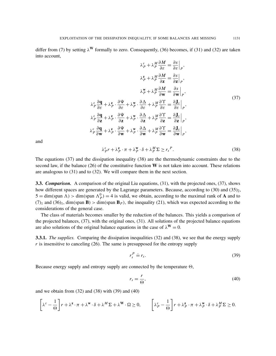differ from (7) by setting  $\lambda^W$  formally to zero. Consequently, (36) becomes, if (31) and (32) are taken into account,

$$
\lambda_P^{\varepsilon} + \lambda_P^M \frac{\partial M}{\partial \varepsilon} = \frac{\partial s}{\partial \varepsilon}\Big|_P,
$$
  

$$
\lambda_P^{\varepsilon} + \lambda_P^M \frac{\partial M}{\partial \varepsilon} = \frac{\partial s}{\partial \varepsilon}\Big|_P,
$$
  

$$
\lambda_P^{\varepsilon} + \lambda_P^M \frac{\partial M}{\partial \varepsilon} = \frac{\partial s}{\partial \varepsilon}\Big|_P,
$$
  

$$
\lambda_P^{\varepsilon} + \lambda_P^M \frac{\partial M}{\partial \varepsilon} = \frac{\partial s}{\partial \varepsilon}\Big|_P,
$$
  

$$
\lambda_P^{\varepsilon} \frac{\partial q}{\partial \varepsilon} + \lambda_P^{\varepsilon} \cdot \frac{\partial \Psi}{\partial \varepsilon} + \lambda_P^W \cdot \frac{\partial \Delta}{\partial \varepsilon} + \lambda_P^M \frac{\partial \Upsilon}{\partial \varepsilon} = \frac{\partial J_s}{\partial \varepsilon}\Big|_P,
$$
  

$$
\lambda_P^{\varepsilon} \frac{\partial q}{\partial \varepsilon} + \lambda_P^{\varepsilon} \cdot \frac{\partial \Psi}{\partial \varepsilon} + \lambda_P^W \cdot \frac{\partial \Delta}{\partial \varepsilon} + \lambda_P^M \frac{\partial \Upsilon}{\partial \varepsilon} = \frac{\partial J_s}{\partial \varepsilon}\Big|_P,
$$
  

$$
\lambda_P^{\varepsilon} \frac{\partial q}{\partial \varepsilon} + \lambda_P^{\varepsilon} \cdot \frac{\partial \Psi}{\partial \varepsilon} + \lambda_P^W \cdot \frac{\partial \Delta}{\partial \varepsilon} + \lambda_P^M \frac{\partial \Upsilon}{\partial \varepsilon} = \frac{\partial J_s}{\partial \varepsilon}\Big|_P,
$$
 (37)

∂ *M*

and

$$
\lambda_P^{\varepsilon} r + \lambda_P^{\mathbf{z}} \cdot \pi + \lambda_P^{\mathbf{w}} \cdot \delta + \lambda_P^M \Sigma \ge r_s^P. \tag{38}
$$

The equations (37) and the dissipation inequality (38) are the thermodynamic constraints due to the second law, if the balance (26) of the constitutive function  $W$  is not taken into account. These relations are analogous to (31) and to (32). We will compare them in the next section.

**3.3.** *Comparison.* A comparison of the original Liu equations, (31), with the projected ones, (37), shows how different spaces are generated by the Lagrange parameters. Because, according to  $(30)$  and  $(35)_2$ ,  $5 = \dim(\text{span }\Lambda) > \dim(\text{span }\Lambda_P^0) = 4$  is valid, we obtain, according to the maximal rank of **A** and to  $(7)_1$  and  $(36)_1$ , dim(span **B**) > dim(span **B**<sub>*P*</sub>), the inequality (21), which was expected according to the considerations of the general case.

The class of materials becomes smaller by the reduction of the balances. This yields a comparison of the projected balances, (37), with the original ones, (31). All solutions of the projected balance equations are also solutions of the original balance equations in the case of  $\lambda^W = 0$ .

3.3.1. *The supplies.* Comparing the dissipation inequalities (32) and (38), we see that the energy supply *r* is insensitive to canceling (26). The same is presupposed for the entropy supply

$$
r_s^P \doteq r_s. \tag{39}
$$

Because energy supply and entropy supply are connected by the temperature  $\Theta$ ,

$$
r_s = \frac{r}{\Theta},\tag{40}
$$

and we obtain from  $(32)$  and  $(38)$  with  $(39)$  and  $(40)$ 

$$
\left[\lambda^{\varepsilon} - \frac{1}{\Theta}\right] r + \lambda^{\mathbf{z}} \cdot \pi + \lambda^{\mathbf{w}} \cdot \delta + \lambda^{M} \Sigma + \lambda^{\mathbf{W}} \cdot \Omega \ge 0, \qquad \left[\lambda^{\varepsilon}_{P} - \frac{1}{\Theta}\right] r + \lambda^{\mathbf{z}}_{P} \cdot \pi + \lambda^{\mathbf{w}}_{P} \cdot \delta + \lambda^{M}_{P} \Sigma \ge 0.
$$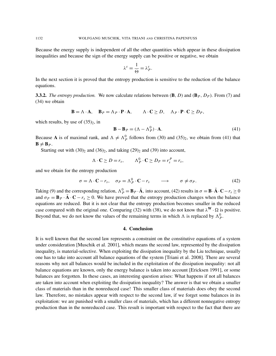Because the energy supply is independent of all the other quantities which appear in these dissipation inequalities and because the sign of the energy supply can be positive or negative, we obtain

$$
\lambda^{\varepsilon} = \frac{1}{\Theta} = \lambda_P^{\varepsilon}.
$$

In the next section it is proved that the entropy production is sensitive to the reduction of the balance equations.

**3.3.2.** *The entropy production.* We now calculate relations between  $(\mathbf{B}, D)$  and  $(\mathbf{B}_P, D_P)$ . From (7) and (34) we obtain

$$
\mathbf{B} = \Lambda \cdot \mathbf{A}, \quad \mathbf{B}_P = \Lambda_P \cdot \mathbf{P} \cdot \mathbf{A}, \qquad \Lambda \cdot \mathbf{C} \ge D, \quad \Lambda_P \cdot \mathbf{P} \cdot \mathbf{C} \ge D_P,
$$

which results, by use of  $(35)_2$ , in

$$
\mathbf{B} - \mathbf{B}_P = (\Lambda - \Lambda_P^0) \cdot \mathbf{A}.\tag{41}
$$

Because A is of maximal rank, and  $\Lambda \neq \Lambda_p^0$  follows from (30) and (35)<sub>2</sub>, we obtain from (41) that  $B \neq B_P$ .

Starting out with  $(30)_2$  and  $(36)_2$ , and taking  $(29)_2$  and  $(39)$  into account,

$$
\Lambda \cdot \mathbf{C} \ge D = r_s, \qquad \Lambda_P^0 \cdot \mathbf{C} \ge D_P = r_s^P = r_s,
$$

and we obtain for the entropy production

$$
\sigma = \Lambda \cdot \mathbf{C} - r_s, \quad \sigma_P = \Lambda_P^0 \cdot \mathbf{C} - r_s \quad \longrightarrow \quad \sigma \neq \sigma_P. \tag{42}
$$

Taking (9) and the corresponding relation,  $\Lambda_p^0 = \mathbf{B}_P \cdot \bar{\mathbf{A}}$ , into account, (42) results in  $\sigma = \mathbf{B} \cdot \bar{\mathbf{A}} \cdot \mathbf{C} - r_s \ge 0$ and  $\sigma_p = \mathbf{B}_p \cdot \bar{\mathbf{A}} \cdot \mathbf{C} - r_s \ge 0$ . We have proved that the entropy production changes when the balance equations are reduced. But it is not clear that the entropy production becomes smaller in the reduced case compared with the original one. Comparing (32) with (38), we do not know that  $\lambda^W \cdot \Omega$  is positive. Beyond that, we do not know the values of the remaining terms in which  $\Lambda$  is replaced by  $\Lambda_p^0$ .

#### 4. Conclusion

It is well known that the second law represents a constraint on the constitutive equations of a system under consideration [Muschik et al. 2001], which means the second law, represented by the dissipation inequality, is material-selective. When exploiting the dissipation inequality by the Liu technique, usually one has to take into account all balance equations of the system [Triani et al. 2008]. There are several reasons why not all balances would be included in the exploitation of the dissipation inequality: not all balance equations are known, only the energy balance is taken into account [Ericksen 1991], or some balances are forgotten. In these cases, an interesting question arises: What happens if not all balances are taken into account when exploiting the dissipation inequality? The answer is that we obtain a smaller class of materials than in the nonreduced case! This smaller class of materials does obey the second law. Therefore, no mistakes appear with respect to the second law, if we forget some balances in its exploitation: we are punished with a smaller class of materials, which has a different nonnegative entropy production than in the nonreduced case. This result is important with respect to the fact that there are